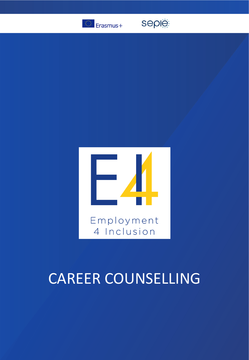

seple



# CAREER COUNSELLING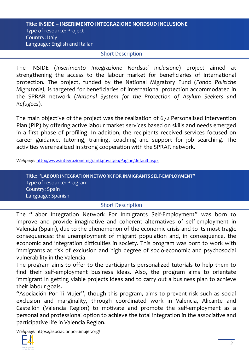#### Title: **INSIDE – INSERIMENTO INTEGRAZIONE NORDSUD INCLUSIONE**  Type of resource: Project Country: Italy Language: English and Italian

### **Short Description**

The INSIDE (*Inserimento Integrazione Nordsud Inclusione*) project aimed at strengthening the access to the labour market for beneficiaries of international protection. The project, funded by the National Migratory Fund (*Fondo Politiche Migratorie),* is targeted for beneficiaries of international protection accommodated in the SPRAR network (*National System for the Protection of Asylum Seekers and Refugees*).

The main objective of the project was the realization of 672 Personalised Intervention Plan (PIP) by offering active labour market services based on skills and needs emerged in a first phase of profiling. In addition, the recipients received services focused on career guidance, tutoring, training, coaching and support for job searching. The activities were realized in strong cooperation with the SPRAR network.

*Webpage:* <http://www.integrazionemigranti.gov.it/en/Pagine/default.aspx>

Title: "**LABOUR INTEGRATION NETWORK FOR INMIGRANTS SELF-EMPLOYMENT"** Type of resource: Program Country: Spain Language: Spanish

### **Short Description**

The "Labor Integration Network For Inmigrants Self-Employment" was born to improve and provide imaginative and coherent alternatives of self-employment in Valencia (Spain), due to the phenomenon of the economic crisis and to its most tragic consequences: the unemployment of migrant population and, in consequence, the economic and integration difficulties in society. This program was born to work with immigrants at risk of exclusion and high degree of socio-economic and psychosocial vulnerability in the Valencia.

The program aims to offer to the participants personalized tutorials to help them to find their self-employment business ideas. Also, the program aims to orientate immigrant in getting viable projects ideas and to carry out a business plan to achieve their labour goals.

"Asociación Por Ti Mujer", though this program, aims to prevent risk such as social exclusion and marginality, through coordinated work in Valencia, Alicante and Castellón (Valencia Region) to motivate and promote the self-employment as a personal and professional option to achieve the total integration in the associative and participative life in Valencia Region.

*Webpage:* https://asociacionportimujer.org/